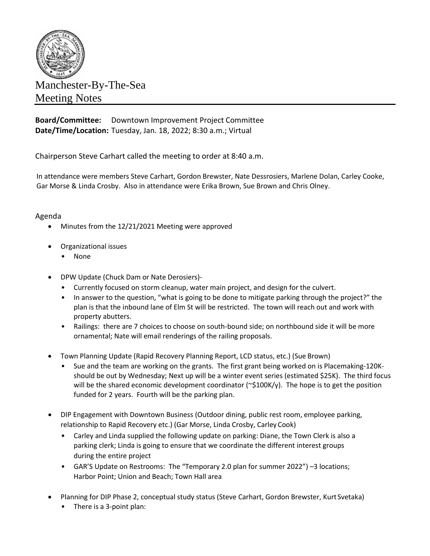

## Manchester-By-The-Sea Meeting Notes

**Board/Committee:** Downtown Improvement Project Committee **Date/Time/Location:** Tuesday, Jan. 18, 2022; 8:30 a.m.; Virtual

Chairperson Steve Carhart called the meeting to order at 8:40 a.m.

In attendance were members Steve Carhart, Gordon Brewster, Nate Dessrosiers, Marlene Dolan, Carley Cooke, Gar Morse & Linda Crosby. Also in attendance were Erika Brown, Sue Brown and Chris Olney.

## Agenda

- Minutes from the 12/21/2021 Meeting were approved
- Organizational issues
	- None
- DPW Update (Chuck Dam or Nate Derosiers)-
	- Currently focused on storm cleanup, water main project, and design for the culvert.
	- In answer to the question, "what is going to be done to mitigate parking through the project?" the plan is that the inbound lane of Elm St will be restricted. The town will reach out and work with property abutters.
	- Railings: there are 7 choices to choose on south-bound side; on northbound side it will be more ornamental; Nate will email renderings of the railing proposals.
- Town Planning Update (Rapid Recovery Planning Report, LCD status, etc.) (Sue Brown)
	- Sue and the team are working on the grants. The first grant being worked on is Placemaking-120Kshould be out by Wednesday; Next up will be a winter event series (estimated \$25K). The third focus will be the shared economic development coordinator ( $\approx$ \$100K/y). The hope is to get the position funded for 2 years. Fourth will be the parking plan.
- DIP Engagement with Downtown Business (Outdoor dining, public rest room, employee parking, relationship to Rapid Recovery etc.) (Gar Morse, Linda Crosby, Carley Cook)
	- Carley and Linda supplied the following update on parking: Diane, the Town Clerk is also a parking clerk; Linda is going to ensure that we coordinate the different interest groups during the entire project
	- GAR'S Update on Restrooms: The "Temporary 2.0 plan for summer 2022") –3 locations; Harbor Point; Union and Beach; Town Hall area
- Planning for DIP Phase 2, conceptual study status (Steve Carhart, Gordon Brewster, Kurt Svetaka) There is a 3-point plan: